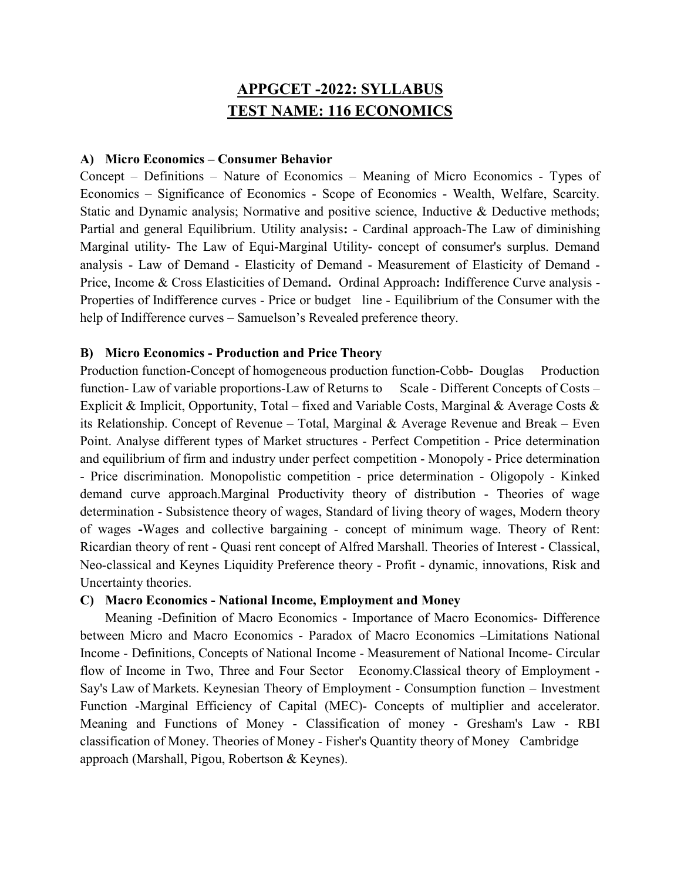# APPGCET -2022: SYLLABUS TEST NAME: 116 ECONOMICS

#### A) Micro Economics – Consumer Behavior

Concept – Definitions – Nature of Economics – Meaning of Micro Economics - Types of Economics – Significance of Economics - Scope of Economics - Wealth, Welfare, Scarcity. Static and Dynamic analysis; Normative and positive science, Inductive & Deductive methods; Partial and general Equilibrium. Utility analysis: - Cardinal approach-The Law of diminishing Marginal utility- The Law of Equi-Marginal Utility- concept of consumer's surplus. Demand analysis - Law of Demand - Elasticity of Demand - Measurement of Elasticity of Demand - Price, Income & Cross Elasticities of Demand. Ordinal Approach: Indifference Curve analysis - Properties of Indifference curves - Price or budget line - Equilibrium of the Consumer with the help of Indifference curves – Samuelson's Revealed preference theory.

### B) Micro Economics - Production and Price Theory

Production function-Concept of homogeneous production function-Cobb- Douglas Production function- Law of variable proportions-Law of Returns to Scale - Different Concepts of Costs – Explicit & Implicit, Opportunity, Total – fixed and Variable Costs, Marginal & Average Costs & its Relationship. Concept of Revenue – Total, Marginal & Average Revenue and Break – Even Point. Analyse different types of Market structures - Perfect Competition - Price determination and equilibrium of firm and industry under perfect competition - Monopoly - Price determination - Price discrimination. Monopolistic competition - price determination - Oligopoly - Kinked demand curve approach.Marginal Productivity theory of distribution - Theories of wage determination - Subsistence theory of wages, Standard of living theory of wages, Modern theory of wages -Wages and collective bargaining - concept of minimum wage. Theory of Rent: Ricardian theory of rent - Quasi rent concept of Alfred Marshall. Theories of Interest - Classical, Neo-classical and Keynes Liquidity Preference theory - Profit - dynamic, innovations, Risk and Uncertainty theories.

#### C) Macro Economics - National Income, Employment and Money

 Meaning -Definition of Macro Economics - Importance of Macro Economics- Difference between Micro and Macro Economics - Paradox of Macro Economics –Limitations National Income - Definitions, Concepts of National Income - Measurement of National Income- Circular flow of Income in Two, Three and Four Sector Economy.Classical theory of Employment - Say's Law of Markets. Keynesian Theory of Employment - Consumption function – Investment Function -Marginal Efficiency of Capital (MEC)- Concepts of multiplier and accelerator. Meaning and Functions of Money - Classification of money - Gresham's Law - RBI classification of Money. Theories of Money - Fisher's Quantity theory of Money Cambridge approach (Marshall, Pigou, Robertson & Keynes).